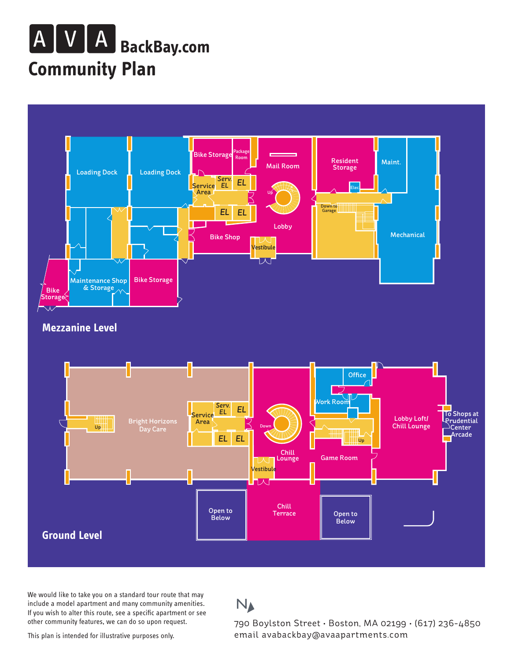## **Community Plan BackBay.com**



We would like to take you on a standard tour route that may include a model apartment and many community amenities. If you wish to alter this route, see a specific apartment or see other community features, we can do so upon request.

## $N_A$

790 Boylston Street • Boston, MA 02199 • (617) 236-4850 email avabackbay@avaapartments.com

This plan is intended for illustrative purposes only.